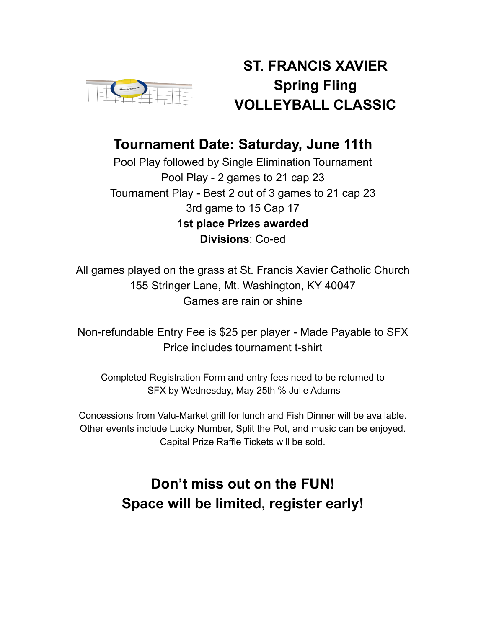

## **ST. FRANCIS XAVIER Spring Fling VOLLEYBALL CLASSIC**

## **Tournament Date: Saturday, June 11th**

Pool Play followed by Single Elimination Tournament Pool Play - 2 games to 21 cap 23 Tournament Play - Best 2 out of 3 games to 21 cap 23 3rd game to 15 Cap 17 **1st place Prizes awarded Divisions**: Co-ed

All games played on the grass at St. Francis Xavier Catholic Church 155 Stringer Lane, Mt. Washington, KY 40047 Games are rain or shine

Non-refundable Entry Fee is \$25 per player - Made Payable to SFX Price includes tournament t-shirt

Completed Registration Form and entry fees need to be returned to SFX by Wednesday, May 25th % Julie Adams

Concessions from Valu-Market grill for lunch and Fish Dinner will be available. Other events include Lucky Number, Split the Pot, and music can be enjoyed. Capital Prize Raffle Tickets will be sold.

# **Don't miss out on the FUN! Space will be limited, register early!**